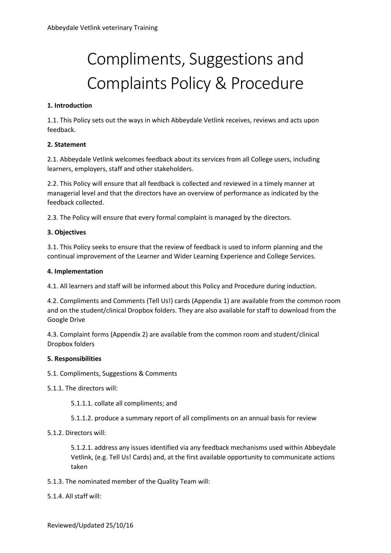# Compliments, Suggestions and Complaints Policy & Procedure

## **1. Introduction**

1.1. This Policy sets out the ways in which Abbeydale Vetlink receives, reviews and acts upon feedback.

## **2. Statement**

2.1. Abbeydale Vetlink welcomes feedback about its services from all College users, including learners, employers, staff and other stakeholders.

2.2. This Policy will ensure that all feedback is collected and reviewed in a timely manner at managerial level and that the directors have an overview of performance as indicated by the feedback collected.

2.3. The Policy will ensure that every formal complaint is managed by the directors.

## **3. Objectives**

3.1. This Policy seeks to ensure that the review of feedback is used to inform planning and the continual improvement of the Learner and Wider Learning Experience and College Services.

## **4. Implementation**

4.1. All learners and staff will be informed about this Policy and Procedure during induction.

4.2. Compliments and Comments (Tell Us!) cards (Appendix 1) are available from the common room and on the student/clinical Dropbox folders. They are also available for staff to download from the Google Drive

4.3. Complaint forms (Appendix 2) are available from the common room and student/clinical Dropbox folders

## **5. Responsibilities**

5.1. Compliments, Suggestions & Comments

- 5.1.1. The directors will:
	- 5.1.1.1. collate all compliments; and
	- 5.1.1.2. produce a summary report of all compliments on an annual basis for review
- 5.1.2. Directors will:

5.1.2.1. address any issues identified via any feedback mechanisms used within Abbeydale Vetlink, (e.g. Tell Us! Cards) and, at the first available opportunity to communicate actions taken

5.1.3. The nominated member of the Quality Team will:

## 5.1.4. All staff will: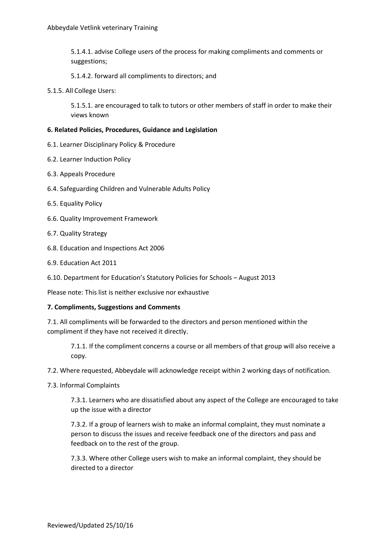5.1.4.1. advise College users of the process for making compliments and comments or suggestions;

5.1.4.2. forward all compliments to directors; and

5.1.5. All College Users:

5.1.5.1. are encouraged to talk to tutors or other members of staff in order to make their views known

#### **6. Related Policies, Procedures, Guidance and Legislation**

- 6.1. Learner Disciplinary Policy & Procedure
- 6.2. Learner Induction Policy
- 6.3. Appeals Procedure
- 6.4. Safeguarding Children and Vulnerable Adults Policy
- 6.5. Equality Policy
- 6.6. Quality Improvement Framework
- 6.7. Quality Strategy
- 6.8. Education and Inspections Act 2006
- 6.9. Education Act 2011
- 6.10. Department for Education's Statutory Policies for Schools August 2013

Please note: This list is neither exclusive nor exhaustive

#### **7. Compliments, Suggestions and Comments**

7.1. All compliments will be forwarded to the directors and person mentioned within the compliment if they have not received it directly.

7.1.1. If the compliment concerns a course or all members of that group will also receive a copy.

7.2. Where requested, Abbeydale will acknowledge receipt within 2 working days of notification.

7.3. Informal Complaints

7.3.1. Learners who are dissatisfied about any aspect of the College are encouraged to take up the issue with a director

7.3.2. If a group of learners wish to make an informal complaint, they must nominate a person to discuss the issues and receive feedback one of the directors and pass and feedback on to the rest of the group.

7.3.3. Where other College users wish to make an informal complaint, they should be directed to a director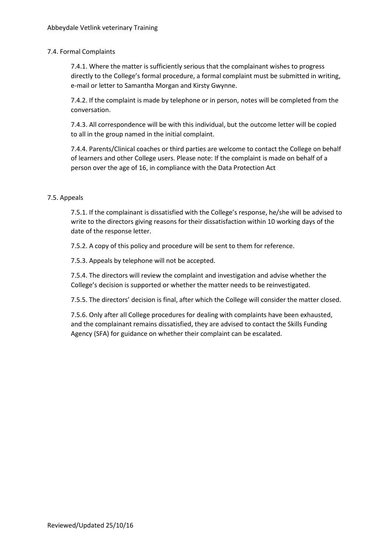## 7.4. Formal Complaints

7.4.1. Where the matter is sufficiently serious that the complainant wishes to progress directly to the College's formal procedure, a formal complaint must be submitted in writing, e-mail or letter to Samantha Morgan and Kirsty Gwynne.

7.4.2. If the complaint is made by telephone or in person, notes will be completed from the conversation.

7.4.3. All correspondence will be with this individual, but the outcome letter will be copied to all in the group named in the initial complaint.

7.4.4. Parents/Clinical coaches or third parties are welcome to contact the College on behalf of learners and other College users. Please note: If the complaint is made on behalf of a person over the age of 16, in compliance with the Data Protection Act

## 7.5. Appeals

7.5.1. If the complainant is dissatisfied with the College's response, he/she will be advised to write to the directors giving reasons for their dissatisfaction within 10 working days of the date of the response letter.

7.5.2. A copy of this policy and procedure will be sent to them for reference.

7.5.3. Appeals by telephone will not be accepted.

7.5.4. The directors will review the complaint and investigation and advise whether the College's decision is supported or whether the matter needs to be reinvestigated.

7.5.5. The directors' decision is final, after which the College will consider the matter closed.

7.5.6. Only after all College procedures for dealing with complaints have been exhausted, and the complainant remains dissatisfied, they are advised to contact the Skills Funding Agency (SFA) for guidance on whether their complaint can be escalated.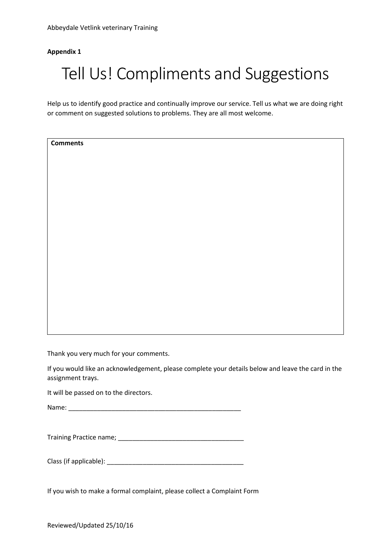## **Appendix 1**

## Tell Us! Compliments and Suggestions

Help us to identify good practice and continually improve our service. Tell us what we are doing right or comment on suggested solutions to problems. They are all most welcome.

**Comments**

Thank you very much for your comments.

If you would like an acknowledgement, please complete your details below and leave the card in the assignment trays.

It will be passed on to the directors.

Name:

Training Practice name; \_\_\_\_\_\_\_\_\_\_\_\_\_\_\_\_\_\_\_\_\_\_\_\_\_\_\_\_\_\_\_\_\_\_\_

Class (if applicable): \_\_\_\_\_\_\_\_\_\_\_\_\_\_\_\_\_\_\_\_\_\_\_\_\_\_\_\_\_\_\_\_\_\_\_\_\_\_

If you wish to make a formal complaint, please collect a Complaint Form